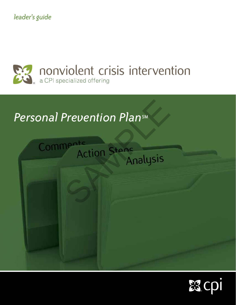*leader's guide*



# **Personal Prevention PlansM**



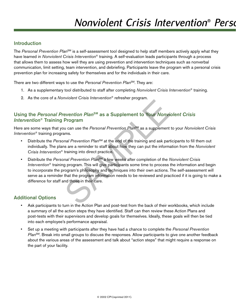### **Introduction**

The *Personal Prevention Plan<sup>sM</sup>* is a self-assessment tool designed to help staff members actively apply what they have learned in *Nonviolent Crisis Intervention*® training. A self-evaluation leads participants through a process that allows them to assess how well they are using prevention and intervention techniques such as nonverbal communication, limit setting, team intervention, and debriefing. Participants leave the program with a personal crisis prevention plan for increasing safety for themselves and for the individuals in their care.

There are two different ways to use the *Personal Prevention Plan*SM. They are:

- 1. As a supplementary tool distributed to staff after completing *Nonviolent Crisis Intervention*® training.
- 2. As the core of a *Nonviolent Crisis Intervention*® refresher program.

## Using the *Personal Prevention Plan*SM as a Supplement to Your *Nonviolent Crisis Intervention*® Training Program

Here are some ways that you can use the *Personal Prevention Plan<sup>sM</sup>* as a supplement to your *Nonviolent Crisis Intervention*® training programs.

- Distribute the *Personal Prevention Plan<sup>sM</sup>* at the end of the training and ask participants to fill them out individually. The plans are a reminder to staff about how they can put the information from the *Nonviolent Crisis Intervention*® training into direct practice.
- Distribute the *Personal Prevention Plan*SM a few weeks after completion of the *Nonviolent Crisis Intervention*® training program. This will give participants some time to process the information and begin to incorporate the program's philosophy and techniques into their own actions. The self-assessment will serve as a reminder that the program information needs to be reviewed and practiced if it is going to make a difference for staff and those in their care. evention Plan<sup>sM</sup> as a Supplement to Your Nonvierty<br>Program<br>and Prevention Plan<sup>sM</sup> as a supplement<br>ans.<br>and Prevention Plan<sup>sM</sup> at the end of the training and ask part<br>is are a reminder to staff about how they can put the

## Additional Options

- Ask participants to turn in the Action Plan and post-test from the back of their workbooks, which include a summary of all the action steps they have identified. Staff can then review these Action Plans and post-tests with their supervisors and develop goals for themselves. Ideally, these goals will then be tied into each employee's performance appraisal.
- Set up a meeting with participants after they have had a chance to complete the *Personal Prevention Plan*<sup>SM</sup>. Break into small groups to discuss the responses. Allow participants to give one another feedback about the various areas of the assessment and talk about "action steps" that might require a response on the part of your facility.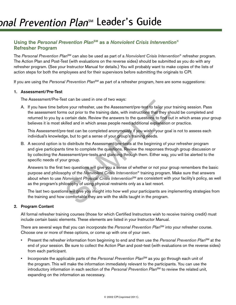## Using the *Personal Prevention Plan*SM as a *Nonviolent Crisis Intervention*® Refresher Program

The *Personal Prevention Plan*SM can also be used as part of a *Nonviolent Crisis Intervention*® refresher program. The Action Plan and Post-Test (with evaluations on the reverse sides) should be submitted as you do with any refresher program. (See your Instructor Manual for details.) You will probably want to make copies of the lists of action steps for both the employees and for their supervisors before submitting the originals to CPI.

If you are using the *Personal Prevention Plan<sup>sM</sup>* as part of a refresher program, here are some suggestions:

#### 1. Assessment/Pre-Test

The Assessment/Pre-Test can be used in one of two ways:

A. If you have time before your refresher, use the Assessment/pre-test to tailor your training session. Pass the assessment forms out prior to the training date, with instructions that they should be completed and returned to you by a certain date. Review the answers to the questions to find out in which areas your group believes it is most skilled and in which areas people need additional explanation or practice.

 This Assessment/pre-test can be completed anonymously if you wish—your goal is not to assess each individual's knowledge, but to get a sense of your group's training needs.

B. A second option is to distribute the Assessment/pre-tests at the beginning of your refresher program and give participants time to complete the questions. Review the responses through group discussion or by collecting the Assessment/pre-tests and glancing through them. Either way, you will be alerted to the specific needs of your group. st can be used in one of two ways:<br>ore your refresher, use the Assessment/pre-test to tailor you<br>ms out prior to the training date, with instructions that they st<br>certain date. Review the answers to the questions to find o

 Answers to the first two questions will give you a sense of whether or not your group remembers the basic purpose and philosophy of the *Nonviolent Crisis Intervention*® training program. Make sure that answers about when to use *Nonviolent Physical Crisis Intervention*SM are consistent with your facility's policy, as well as the program's philosophy of using physical restraints only as a last resort.

 The last two questions will give you insight into how well your participants are implementing strategies from the training and how comfortable they are with the skills taught in the program.

#### 2. Program Content

 All formal refresher training courses (those for which Certified Instructors wish to receive training credit) must include certain basic elements. These elements are listed in your Instructor Manual.

There are several ways that you can incorporate the *Personal Prevention Plan<sup>SM</sup>* into your refresher course. Choose one or more of these options, or come up with one of your own.

- Present the refresher information from beginning to end and then use the *Personal Prevention Plan*<sup>SM</sup> at the end of your session. Be sure to collect the Action Plan and post-test (with evaluations on the reverse sides) from each participant.
- Incorporate the applicable parts of the *Personal Prevention Plan<sup>SM</sup>* as you go through each unit of the program. This will make the information immediately relevant to the participants. You can use the introductory information in each section of the *Personal Prevention Plan<sup>SM</sup>* to review the related unit, expanding on the information as necessary.